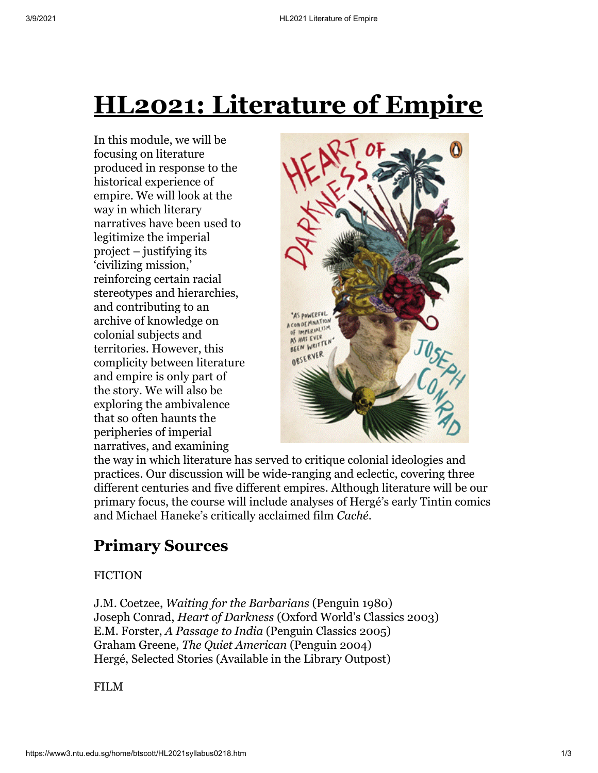# **HL2021: Literature of Empire**

In this module, we will be focusing on literature produced in response to the historical experience of empire. We will look at the way in which literary narratives have been used to legitimize the imperial project – justifying its 'civilizing mission,' reinforcing certain racial stereotypes and hierarchies, and contributing to an archive of knowledge on colonial subjects and territories. However, this complicity between literature and empire is only part of the story. We will also be exploring the ambivalence that so often haunts the peripheries of imperial narratives, and examining



the way in which literature has served to critique colonial ideologies and practices. Our discussion will be wide-ranging and eclectic, covering three different centuries and five different empires. Although literature will be our primary focus, the course will include analyses of Hergé's early Tintin comics and Michael Haneke's critically acclaimed film *Caché*.

## **Primary Sources**

#### FICTION

J.M. Coetzee, *Waiting for the Barbarians* (Penguin 1980) Joseph Conrad, *Heart of Darkness* (Oxford World's Classics 2003) E.M. Forster, *A Passage to India* (Penguin Classics 2005) Graham Greene, *The Quiet American* (Penguin 2004) Hergé, Selected Stories (Available in the Library Outpost)

FILM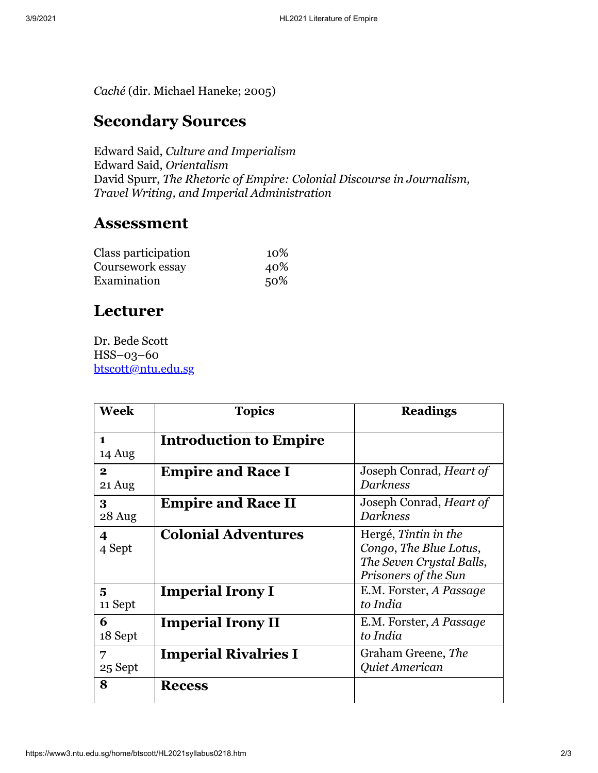*Caché* (dir. Michael Haneke; 2005)

### **Secondary Sources**

Edward Said, *Culture and Imperialism* Edward Said, *Orientalism* David Spurr, *The Rhetoric of Empire: Colonial Discourse in Journalism, Travel Writing, and Imperial Administration*

#### **Assessment**

| Class participation | 10% |
|---------------------|-----|
| Coursework essay    | 40% |
| Examination         | 50% |

### **Lecturer**

Dr. Bede Scott HSS–03–60 [btscott@ntu.edu.sg](mailto:btscott@ntu.edu.sg)

| <b>Week</b>            | <b>Topics</b>                 | <b>Readings</b>                                                                                    |
|------------------------|-------------------------------|----------------------------------------------------------------------------------------------------|
| $\mathbf{1}$<br>14 Aug | <b>Introduction to Empire</b> |                                                                                                    |
| $\mathbf{2}$<br>21 Aug | <b>Empire and Race I</b>      | Joseph Conrad, <i>Heart of</i><br><b>Darkness</b>                                                  |
| $\bf{3}$<br>28 Aug     | <b>Empire and Race II</b>     | Joseph Conrad, Heart of<br><b>Darkness</b>                                                         |
| 4<br>4 Sept            | <b>Colonial Adventures</b>    | Hergé, Tintin in the<br>Congo, The Blue Lotus,<br>The Seven Crystal Balls,<br>Prisoners of the Sun |
| 5<br>11 Sept           | <b>Imperial Irony I</b>       | E.M. Forster, A Passage<br>to India                                                                |
| 6<br>18 Sept           | <b>Imperial Irony II</b>      | E.M. Forster, A Passage<br>to India                                                                |
| 7<br>25 Sept           | <b>Imperial Rivalries I</b>   | Graham Greene, The<br>Quiet American                                                               |
| 8                      | <b>Recess</b>                 |                                                                                                    |